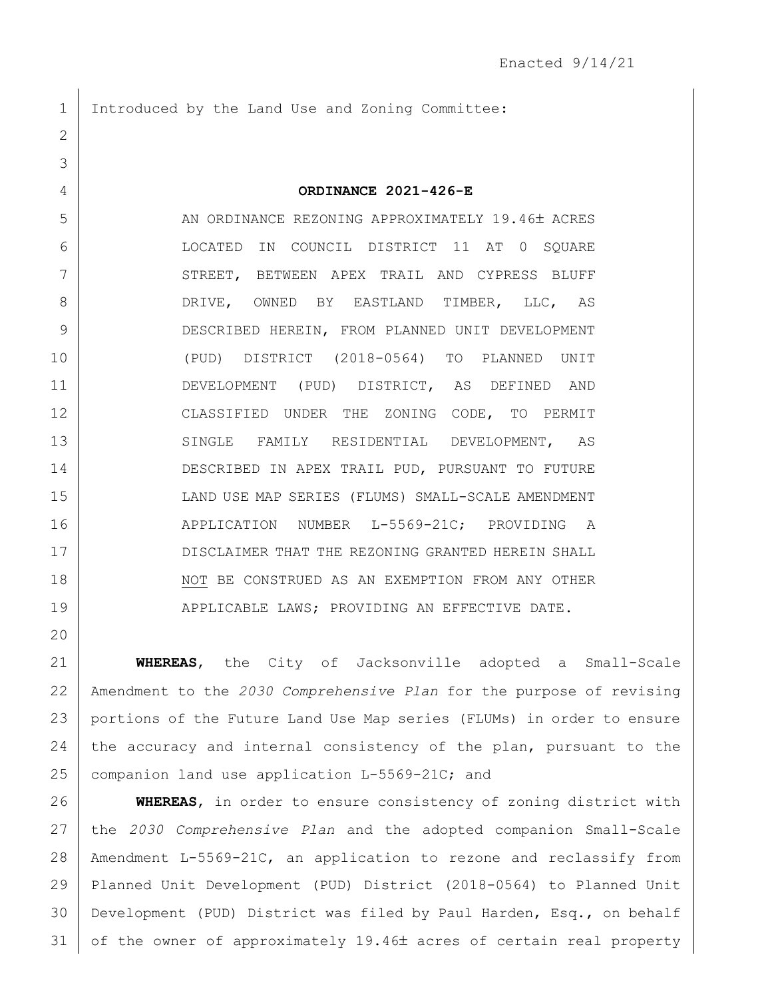Introduced by the Land Use and Zoning Committee:

 **ORDINANCE 2021-426-E** 5 AN ORDINANCE REZONING APPROXIMATELY 19.46± ACRES LOCATED IN COUNCIL DISTRICT 11 AT 0 SQUARE 7 STREET, BETWEEN APEX TRAIL AND CYPRESS BLUFF DRIVE, OWNED BY EASTLAND TIMBER, LLC, AS DESCRIBED HEREIN, FROM PLANNED UNIT DEVELOPMENT (PUD) DISTRICT (2018-0564) TO PLANNED UNIT DEVELOPMENT (PUD) DISTRICT, AS DEFINED AND CLASSIFIED UNDER THE ZONING CODE, TO PERMIT 13 SINGLE FAMILY RESIDENTIAL DEVELOPMENT, AS DESCRIBED IN APEX TRAIL PUD, PURSUANT TO FUTURE LAND USE MAP SERIES (FLUMS) SMALL-SCALE AMENDMENT 16 | APPLICATION NUMBER L-5569-21C; PROVIDING A DISCLAIMER THAT THE REZONING GRANTED HEREIN SHALL 18 NOT BE CONSTRUED AS AN EXEMPTION FROM ANY OTHER 19 | APPLICABLE LAWS; PROVIDING AN EFFECTIVE DATE.

 **WHEREAS**, the City of Jacksonville adopted a Small-Scale Amendment to the *2030 Comprehensive Plan* for the purpose of revising portions of the Future Land Use Map series (FLUMs) in order to ensure 24 the accuracy and internal consistency of the plan, pursuant to the 25 companion land use application L-5569-21C; and

 **WHEREAS**, in order to ensure consistency of zoning district with the *2030 Comprehensive Plan* and the adopted companion Small-Scale Amendment L-5569-21C, an application to rezone and reclassify from Planned Unit Development (PUD) District (2018-0564) to Planned Unit Development (PUD) District was filed by Paul Harden, Esq., on behalf of the owner of approximately 19.46 acres of certain real property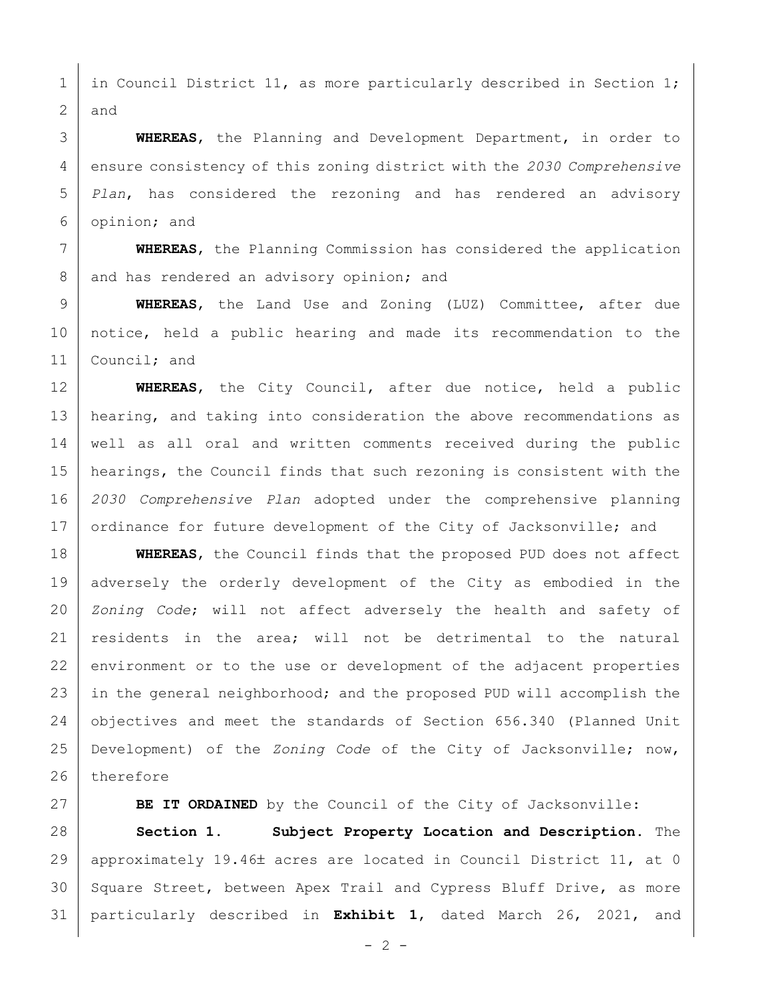1 in Council District 11, as more particularly described in Section 1; 2 and

 **WHEREAS**, the Planning and Development Department, in order to ensure consistency of this zoning district with the *2030 Comprehensive Plan*, has considered the rezoning and has rendered an advisory opinion; and

7 **WHEREAS**, the Planning Commission has considered the application 8 and has rendered an advisory opinion; and

9 **WHEREAS**, the Land Use and Zoning (LUZ) Committee, after due 10 notice, held a public hearing and made its recommendation to the 11 | Council; and

 **WHEREAS**, the City Council, after due notice, held a public 13 | hearing, and taking into consideration the above recommendations as well as all oral and written comments received during the public hearings, the Council finds that such rezoning is consistent with the *2030 Comprehensive Plan* adopted under the comprehensive planning 17 ordinance for future development of the City of Jacksonville; and

18 **WHEREAS**, the Council finds that the proposed PUD does not affect 19 adversely the orderly development of the City as embodied in the 20 *Zoning Code*; will not affect adversely the health and safety of 21 | residents in the area; will not be detrimental to the natural 22 environment or to the use or development of the adjacent properties 23 in the general neighborhood; and the proposed PUD will accomplish the 24 objectives and meet the standards of Section 656.340 (Planned Unit 25 Development) of the *Zoning Code* of the City of Jacksonville; now, 26 therefore

27 **BE IT ORDAINED** by the Council of the City of Jacksonville:

28 **Section 1. Subject Property Location and Description.** The 29 | approximately 19.46± acres are located in Council District 11, at 0 30 Square Street, between Apex Trail and Cypress Bluff Drive, as more 31 particularly described in **Exhibit 1**, dated March 26, 2021, and

 $- 2 -$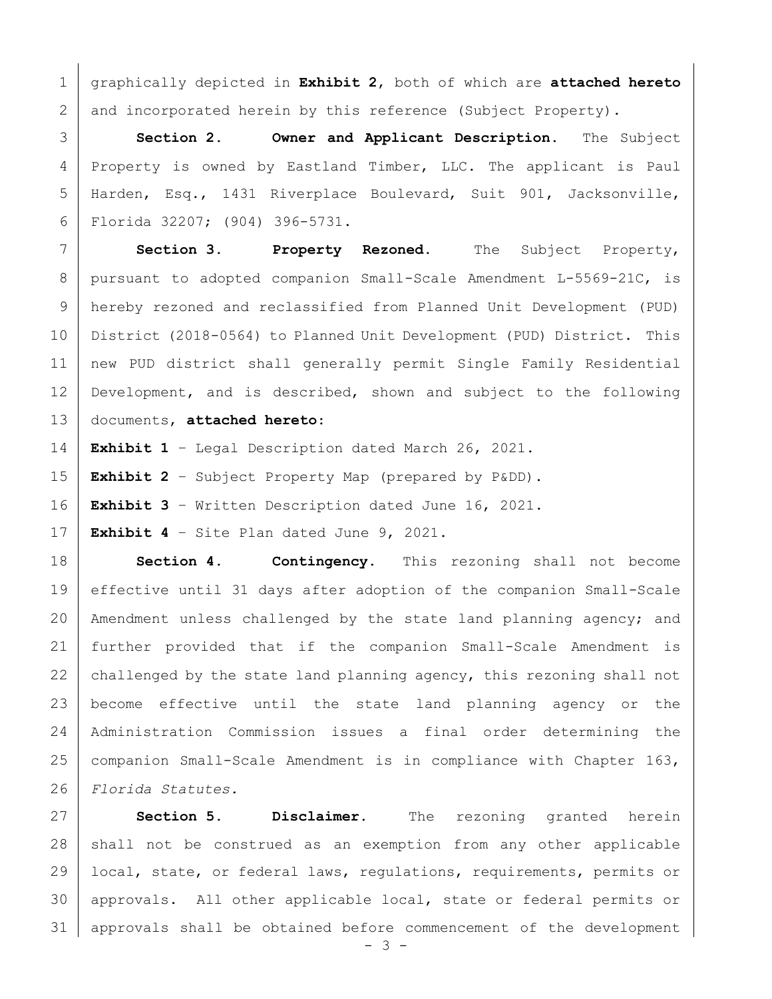graphically depicted in **Exhibit 2**, both of which are **attached hereto** 2 and incorporated herein by this reference (Subject Property).

 **Section 2. Owner and Applicant Description.** The Subject Property is owned by Eastland Timber, LLC. The applicant is Paul Harden, Esq., 1431 Riverplace Boulevard, Suit 901, Jacksonville, Florida 32207; (904) 396-5731.

 **Section 3. Property Rezoned.** The Subject Property, pursuant to adopted companion Small-Scale Amendment L-5569-21C, is hereby rezoned and reclassified from Planned Unit Development (PUD) District (2018-0564) to Planned Unit Development (PUD) District. This new PUD district shall generally permit Single Family Residential Development, and is described, shown and subject to the following documents, **attached hereto**:

**Exhibit 1** – Legal Description dated March 26, 2021.

**Exhibit 2** – Subject Property Map (prepared by P&DD).

**Exhibit 3** – Written Description dated June 16, 2021.

**Exhibit 4** – Site Plan dated June 9, 2021.

 **Section 4. Contingency.** This rezoning shall not become effective until 31 days after adoption of the companion Small-Scale 20 | Amendment unless challenged by the state land planning agency; and further provided that if the companion Small-Scale Amendment is 22 challenged by the state land planning agency, this rezoning shall not become effective until the state land planning agency or the Administration Commission issues a final order determining the companion Small-Scale Amendment is in compliance with Chapter 163, *Florida Statutes.*

 **Section 5. Disclaimer.** The rezoning granted herein 28 | shall not be construed as an exemption from any other applicable local, state, or federal laws, regulations, requirements, permits or approvals. All other applicable local, state or federal permits or approvals shall be obtained before commencement of the development

- 3 -